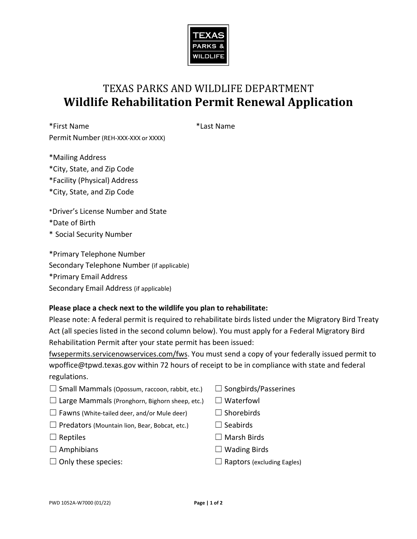

## TEXAS PARKS AND WILDLIFE DEPARTMENT **Wildlife Rehabilitation Permit Renewal Application**

 Permit Number (REH-XXX-XXX or XXXX) \*First Name \*Last Name

- \*Mailing Address
- \*City, State, and Zip Code
- \*Facility (Physical) Address
- \*City, State, and Zip Code
- \*Driver's License Number and State
- \*Date of Birth
- \* Social Security Number

\*Primary Telephone Number Secondary Telephone Number (if applicable) \*Primary Email Address Secondary Email Address (if applicable)

## **Please place a check next to the wildlife you plan to rehabilitate:**

 Act (all species listed in the second column below). You must apply for a Federal Migratory Bird Please note: A federal permit is required to rehabilitate birds listed under the Migratory Bird Treaty Rehabilitation Permit after your state permit has been issued:

fwsepermits.servicenowservices.com/fws. You must send a copy of your federally issued permit to [wpoffice@tpwd.texas.gov](mailto:wpoffice@tpwd.texas.gov) within 72 hours of receipt to be in compliance with state and federal regulations.

- $\Box$  Small Mammals (Opossum, raccoon, rabbit, etc.)  $\Box$  Songbirds/Passerines
- $\Box$  Large Mammals (Pronghorn, Bighorn sheep, etc.)  $\Box$  Waterfowl
- $\Box$  Fawns (White-tailed deer, and/or Mule deer)  $\Box$  Shorebirds
- $\Box$  Predators (Mountain lion, Bear, Bobcat, etc.)  $\Box$  Seabirds
- 
- 
- 
- 
- 
- 
- 
- ☐ Reptiles ☐ Marsh Birds
- ☐ Amphibians ☐ Wading Birds
- $\Box$  Only these species:  $\Box$  Raptors (excluding Eagles)